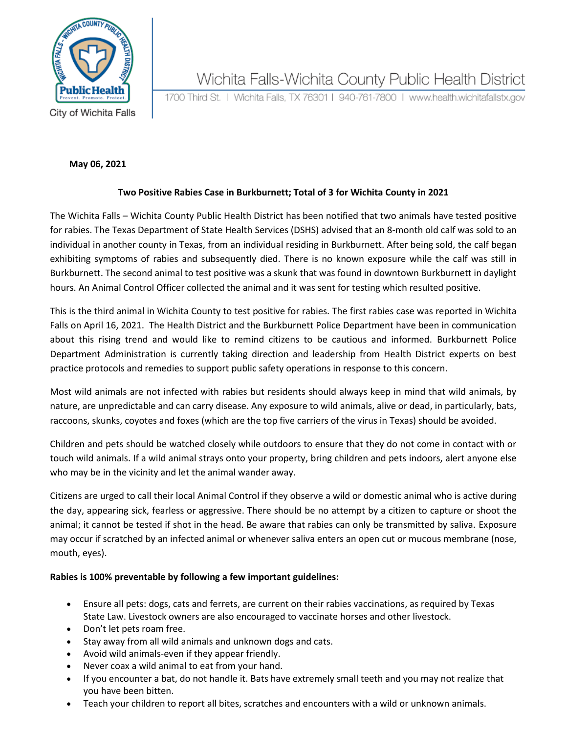

## Wichita Falls-Wichita County Public Health District

1700 Third St. | Wichita Falls, TX 76301 | 940-761-7800 | www.health.wichitafallstx.gov

City of Wichita Falls

#### **May 06, 2021**

### **Two Positive Rabies Case in Burkburnett; Total of 3 for Wichita County in 2021**

The Wichita Falls – Wichita County Public Health District has been notified that two animals have tested positive for rabies. The Texas Department of State Health Services (DSHS) advised that an 8-month old calf was sold to an individual in another county in Texas, from an individual residing in Burkburnett. After being sold, the calf began exhibiting symptoms of rabies and subsequently died. There is no known exposure while the calf was still in Burkburnett. The second animal to test positive was a skunk that was found in downtown Burkburnett in daylight hours. An Animal Control Officer collected the animal and it was sent for testing which resulted positive.

This is the third animal in Wichita County to test positive for rabies. The first rabies case was reported in Wichita Falls on April 16, 2021. The Health District and the Burkburnett Police Department have been in communication about this rising trend and would like to remind citizens to be cautious and informed. Burkburnett Police Department Administration is currently taking direction and leadership from Health District experts on best practice protocols and remedies to support public safety operations in response to this concern.

Most wild animals are not infected with rabies but residents should always keep in mind that wild animals, by nature, are unpredictable and can carry disease. Any exposure to wild animals, alive or dead, in particularly, bats, raccoons, skunks, coyotes and foxes (which are the top five carriers of the virus in Texas) should be avoided.

Children and pets should be watched closely while outdoors to ensure that they do not come in contact with or touch wild animals. If a wild animal strays onto your property, bring children and pets indoors, alert anyone else who may be in the vicinity and let the animal wander away.

Citizens are urged to call their local Animal Control if they observe a wild or domestic animal who is active during the day, appearing sick, fearless or aggressive. There should be no attempt by a citizen to capture or shoot the animal; it cannot be tested if shot in the head. Be aware that rabies can only be transmitted by saliva. Exposure may occur if scratched by an infected animal or whenever saliva enters an open cut or mucous membrane (nose, mouth, eyes).

### **Rabies is 100% preventable by following a few important guidelines:**

- Ensure all pets: dogs, cats and ferrets, are current on their rabies vaccinations, as required by Texas State Law. Livestock owners are also encouraged to vaccinate horses and other livestock.
- Don't let pets roam free.
- Stay away from all wild animals and unknown dogs and cats.
- Avoid wild animals-even if they appear friendly.
- Never coax a wild animal to eat from your hand.
- If you encounter a bat, do not handle it. Bats have extremely small teeth and you may not realize that you have been bitten.
- Teach your children to report all bites, scratches and encounters with a wild or unknown animals.